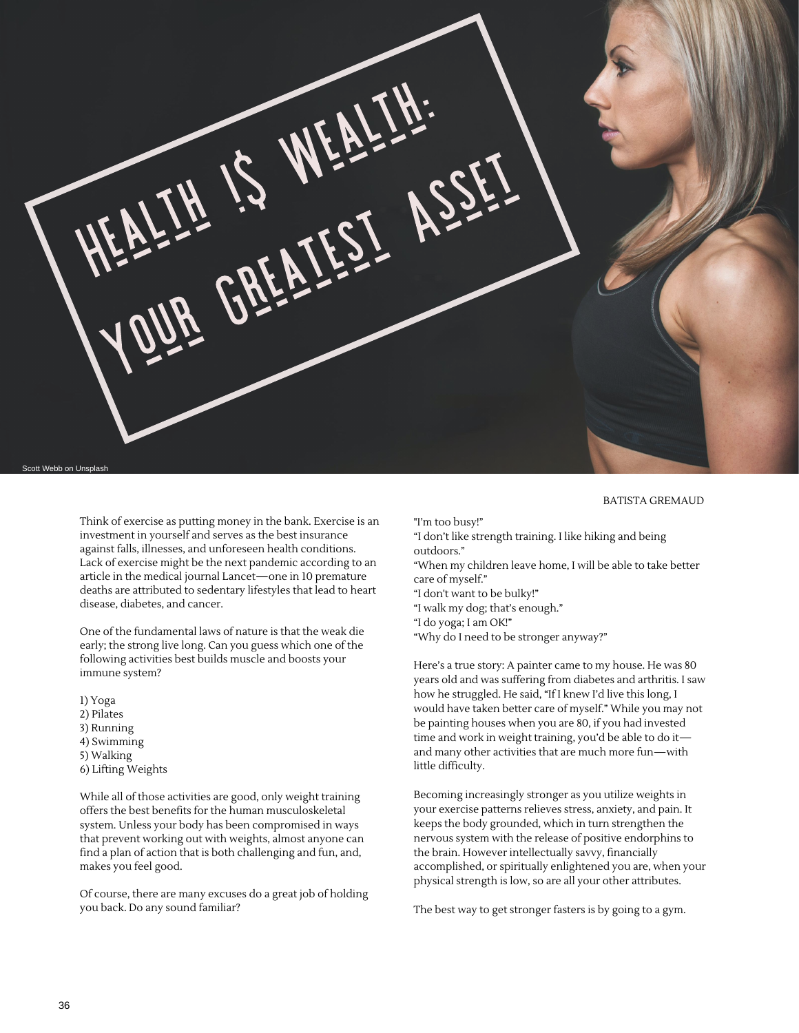

Think of exercise as putting money in the bank. Exercise is an investment in yourself and serves as the best insurance against falls, illnesses, and unforeseen health conditions. Lack of exercise might be the next pandemic according to an article in the medical journal Lancet—one in 10 premature deaths are attributed to sedentary lifestyles that lead to heart disease, diabetes, and cancer.

One of the fundamental laws of nature is that the weak die early; the strong live long. Can you guess which one of the following activities best builds muscle and boosts your immune system?

1) Yoga 2) Pilates 3) Running 4) Swimming 5) Walking 6) Lifting Weights

While all of those activities are good, only weight training offers the best benefits for the human musculoskeletal system. Unless your body has been compromised in ways that prevent working out with weights, almost anyone can find a plan of action that is both challenging and fun, and, makes you feel good.

Of course, there are many excuses do a great job of holding you back. Do any sound familiar?

## BATISTA GREMAUD

"I'm too busy!"

- "I don't like strength training. I like hiking and being outdoors."
- "When my children leave home, I will be able to take better care of myself."
- "I don't want to be bulky!"
- "I walk my dog; that's enough."
- "I do yoga; I am OK!"
- "Why do Ineed to be stronger anyway?"

Here's a true story: A painter came to my house. He was 80 years old and was suffering from diabetes and arthritis. I saw how he struggled. He said, "If I knew I'd live this long, I would have taken better care of myself." While you may not be painting houses when you are 80, if you had invested time and work in weight training, you'd be able to do it and many other activities that are much more fun—with little difficulty.

Becoming increasingly stronger as you utilize weights in your exercise patterns relieves stress, anxiety, and pain. It keeps the body grounded, which in turn strengthen the nervous system with the release of positive endorphins to the brain. However intellectually savvy, financially accomplished, or spiritually enlightened you are, when your physical strength is low, so are all your other attributes.

The best way to get stronger fasters is by going to a gym.